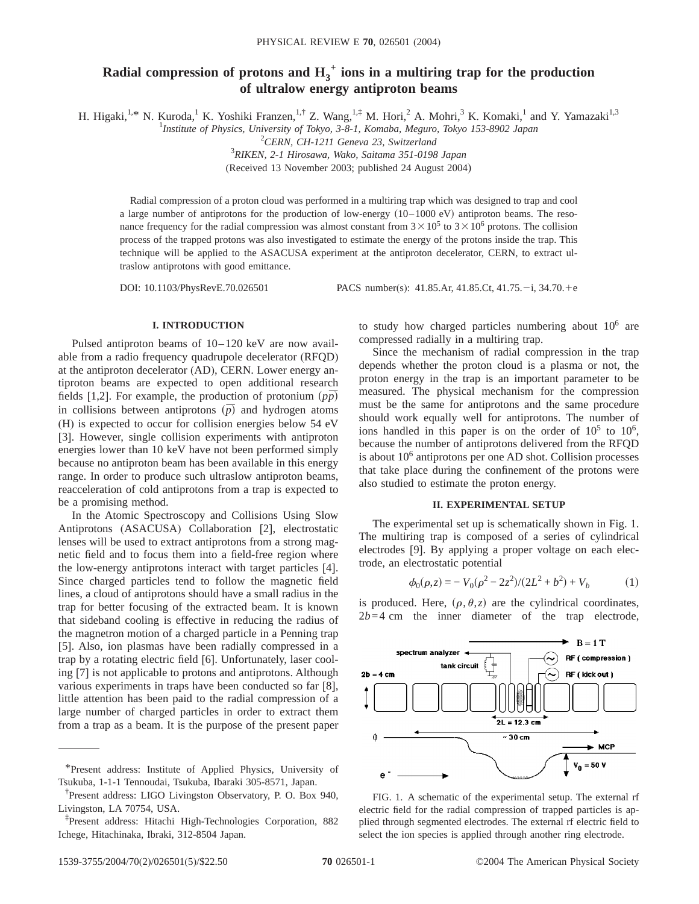# Radial compression of protons and  $H_3^+$  ions in a multiring trap for the production **of ultralow energy antiproton beams**

H. Higaki,<sup>1,\*</sup> N. Kuroda,<sup>1</sup> K. Yoshiki Franzen,<sup>1,†</sup> Z. Wang,<sup>1,‡</sup> M. Hori,<sup>2</sup> A. Mohri,<sup>3</sup> K. Komaki,<sup>1</sup> and Y. Yamazaki<sup>1,3</sup><br><sup>1</sup>*Institute of Physics, University of Tokyo, 3-8-1, Komaba, Meguro, Tokyo 153-8902 Japan* 

2 *CERN, CH-1211 Geneva 23, Switzerland*

3 *RIKEN, 2-1 Hirosawa, Wako, Saitama 351-0198 Japan*

(Received 13 November 2003; published 24 August 2004)

Radial compression of a proton cloud was performed in a multiring trap which was designed to trap and cool a large number of antiprotons for the production of low-energy  $(10-1000 \text{ eV})$  antiproton beams. The resonance frequency for the radial compression was almost constant from  $3 \times 10^5$  to  $3 \times 10^6$  protons. The collision process of the trapped protons was also investigated to estimate the energy of the protons inside the trap. This technique will be applied to the ASACUSA experiment at the antiproton decelerator, CERN, to extract ultraslow antiprotons with good emittance.

DOI: 10.1103/PhysRevE.70.026501 PACS number(s): 41.85.Ar, 41.85.Ct, 41.75. -i, 34.70. +e

## **I. INTRODUCTION**

Pulsed antiproton beams of 10–120 keV are now available from a radio frequency quadrupole decelerator (RFQD) at the antiproton decelerator (AD), CERN. Lower energy antiproton beams are expected to open additional research fields [1,2]. For example, the production of protonium  $(p\bar{p})$ in collisions between antiprotons  $(\bar{p})$  and hydrogen atoms (H) is expected to occur for collision energies below 54 eV [3]. However, single collision experiments with antiproton energies lower than 10 keV have not been performed simply because no antiproton beam has been available in this energy range. In order to produce such ultraslow antiproton beams, reacceleration of cold antiprotons from a trap is expected to be a promising method.

In the Atomic Spectroscopy and Collisions Using Slow Antiprotons (ASACUSA) Collaboration [2], electrostatic lenses will be used to extract antiprotons from a strong magnetic field and to focus them into a field-free region where the low-energy antiprotons interact with target particles [4]. Since charged particles tend to follow the magnetic field lines, a cloud of antiprotons should have a small radius in the trap for better focusing of the extracted beam. It is known that sideband cooling is effective in reducing the radius of the magnetron motion of a charged particle in a Penning trap [5]. Also, ion plasmas have been radially compressed in a trap by a rotating electric field [6]. Unfortunately, laser cooling [7] is not applicable to protons and antiprotons. Although various experiments in traps have been conducted so far [8], little attention has been paid to the radial compression of a large number of charged particles in order to extract them from a trap as a beam. It is the purpose of the present paper to study how charged particles numbering about  $10^6$  are compressed radially in a multiring trap.

Since the mechanism of radial compression in the trap depends whether the proton cloud is a plasma or not, the proton energy in the trap is an important parameter to be measured. The physical mechanism for the compression must be the same for antiprotons and the same procedure should work equally well for antiprotons. The number of ions handled in this paper is on the order of  $10^5$  to  $10^6$ , because the number of antiprotons delivered from the RFQD is about  $10<sup>6</sup>$  antiprotons per one AD shot. Collision processes that take place during the confinement of the protons were also studied to estimate the proton energy.

### **II. EXPERIMENTAL SETUP**

The experimental set up is schematically shown in Fig. 1. The multiring trap is composed of a series of cylindrical electrodes [9]. By applying a proper voltage on each electrode, an electrostatic potential

$$
\phi_0(\rho, z) = -V_0(\rho^2 - 2z^2)/(2L^2 + b^2) + V_b \tag{1}
$$

is produced. Here,  $(\rho, \theta, z)$  are the cylindrical coordinates,  $2b=4$  cm the inner diameter of the trap electrode,



FIG. 1. A schematic of the experimental setup. The external rf electric field for the radial compression of trapped particles is applied through segmented electrodes. The external rf electric field to select the ion species is applied through another ring electrode.

<sup>\*</sup>Present address: Institute of Applied Physics, University of Tsukuba, 1-1-1 Tennoudai, Tsukuba, Ibaraki 305-8571, Japan.

<sup>†</sup> Present address: LIGO Livingston Observatory, P. O. Box 940, Livingston, LA 70754, USA.

<sup>‡</sup> Present address: Hitachi High-Technologies Corporation, 882 Ichege, Hitachinaka, Ibraki, 312-8504 Japan.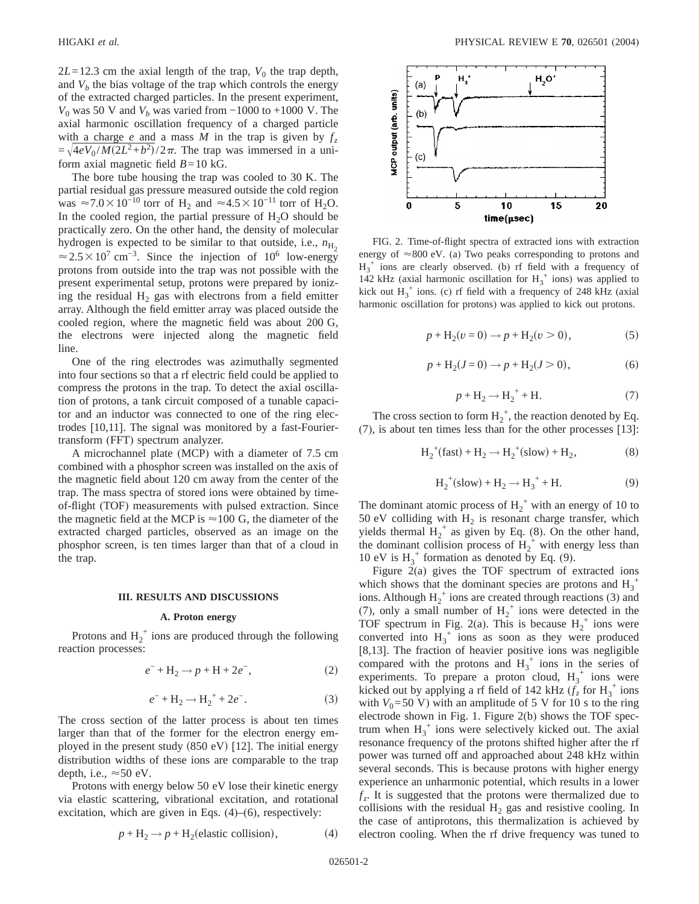$2L=12.3$  cm the axial length of the trap,  $V_0$  the trap depth, and  $V_b$  the bias voltage of the trap which controls the energy of the extracted charged particles. In the present experiment, *V*<sub>0</sub> was 50 V and *V*<sub>b</sub> was varied from −1000 to +1000 V. The axial harmonic oscillation frequency of a charged particle with a charge *e* and a mass *M* in the trap is given by  $f<sub>z</sub>$  $=\sqrt{4eV_0/M(2L^2+b^2)}/2\pi$ . The trap was immersed in a uniform axial magnetic field  $B=10$  kG.

The bore tube housing the trap was cooled to 30 K. The partial residual gas pressure measured outside the cold region was  $\approx$ 7.0 $\times$ 10<sup>-10</sup> torr of H<sub>2</sub> and  $\approx$ 4.5 $\times$ 10<sup>-11</sup> torr of H<sub>2</sub>O. In the cooled region, the partial pressure of  $H_2O$  should be practically zero. On the other hand, the density of molecular hydrogen is expected to be similar to that outside, i.e.,  $n_{\text{H}_2}$  $\approx$  2.5 × 10<sup>7</sup> cm<sup>-3</sup>. Since the injection of 10<sup>6</sup> low-energy protons from outside into the trap was not possible with the present experimental setup, protons were prepared by ionizing the residual  $H_2$  gas with electrons from a field emitter array. Although the field emitter array was placed outside the cooled region, where the magnetic field was about 200 G, the electrons were injected along the magnetic field line.

One of the ring electrodes was azimuthally segmented into four sections so that a rf electric field could be applied to compress the protons in the trap. To detect the axial oscillation of protons, a tank circuit composed of a tunable capacitor and an inductor was connected to one of the ring electrodes [10,11]. The signal was monitored by a fast-Fouriertransform (FFT) spectrum analyzer.

A microchannel plate (MCP) with a diameter of 7.5 cm combined with a phosphor screen was installed on the axis of the magnetic field about 120 cm away from the center of the trap. The mass spectra of stored ions were obtained by timeof-flight (TOF) measurements with pulsed extraction. Since the magnetic field at the MCP is  $\approx$  100 G, the diameter of the extracted charged particles, observed as an image on the phosphor screen, is ten times larger than that of a cloud in the trap.

### **III. RESULTS AND DISCUSSIONS**

#### **A. Proton energy**

Protons and  $H_2^+$  ions are produced through the following reaction processes:

$$
e^- + H_2 \to p + H + 2e^-, \tag{2}
$$

$$
e^- + \text{H}_2 \rightarrow \text{H}_2^+ + 2e^-. \tag{3}
$$

The cross section of the latter process is about ten times larger than that of the former for the electron energy employed in the present study  $(850 \text{ eV})$  [12]. The initial energy distribution widths of these ions are comparable to the trap depth, i.e.,  $\approx 50$  eV.

Protons with energy below 50 eV lose their kinetic energy via elastic scattering, vibrational excitation, and rotational excitation, which are given in Eqs. (4)–(6), respectively:

$$
p + H_2 \rightarrow p + H_2(\text{elastic collision}),\tag{4}
$$



FIG. 2. Time-of-flight spectra of extracted ions with extraction energy of  $\approx 800$  eV. (a) Two peaks corresponding to protons and  $H_3^+$  ions are clearly observed. (b) rf field with a frequency of 142 kHz (axial harmonic oscillation for  $H_3^+$  ions) was applied to kick out  $H_3^+$  ions. (c) rf field with a frequency of 248 kHz (axial harmonic oscillation for protons) was applied to kick out protons.

$$
p + H_2(v = 0) \to p + H_2(v > 0),
$$
 (5)

$$
p + H_2(J = 0) \to p + H_2(J > 0),
$$
 (6)

$$
p + \mathrm{H}_2 \longrightarrow \mathrm{H}_2^+ + \mathrm{H}.\tag{7}
$$

The cross section to form  $H_2^+$ , the reaction denoted by Eq. (7), is about ten times less than for the other processes [13]:

$$
H_2^+(fast) + H_2 \rightarrow H_2^+(slow) + H_2,
$$
 (8)

$$
H_2^+(slow) + H_2 \rightarrow H_3^+ + H.
$$
 (9)

The dominant atomic process of  $H_2^+$  with an energy of 10 to 50 eV colliding with  $H_2$  is resonant charge transfer, which yields thermal  $H_2^+$  as given by Eq. (8). On the other hand, the dominant collision process of  $H_2^+$  with energy less than 10 eV is  $H_3^+$  formation as denoted by Eq. (9).

Figure 2(a) gives the TOF spectrum of extracted ions which shows that the dominant species are protons and  $H_3^+$ ions. Although  $H_2^+$  ions are created through reactions (3) and (7), only a small number of  $H_2^+$  ions were detected in the TOF spectrum in Fig. 2(a). This is because  $H_2^+$  ions were converted into  $H_3^+$  ions as soon as they were produced [8,13]. The fraction of heavier positive ions was negligible compared with the protons and  $H_3^+$  ions in the series of experiments. To prepare a proton cloud,  $H_3^+$  ions were kicked out by applying a rf field of 142 kHz  $(f<sub>z</sub>$  for H<sub>3</sub><sup>+</sup> ions with  $V_0$ =50 V) with an amplitude of 5 V for 10 s to the ring electrode shown in Fig. 1. Figure 2(b) shows the TOF spectrum when  $H_3^+$  ions were selectively kicked out. The axial resonance frequency of the protons shifted higher after the rf power was turned off and approached about 248 kHz within several seconds. This is because protons with higher energy experience an unharmonic potential, which results in a lower  $f<sub>z</sub>$ . It is suggested that the protons were thermalized due to collisions with the residual  $H_2$  gas and resistive cooling. In the case of antiprotons, this thermalization is achieved by electron cooling. When the rf drive frequency was tuned to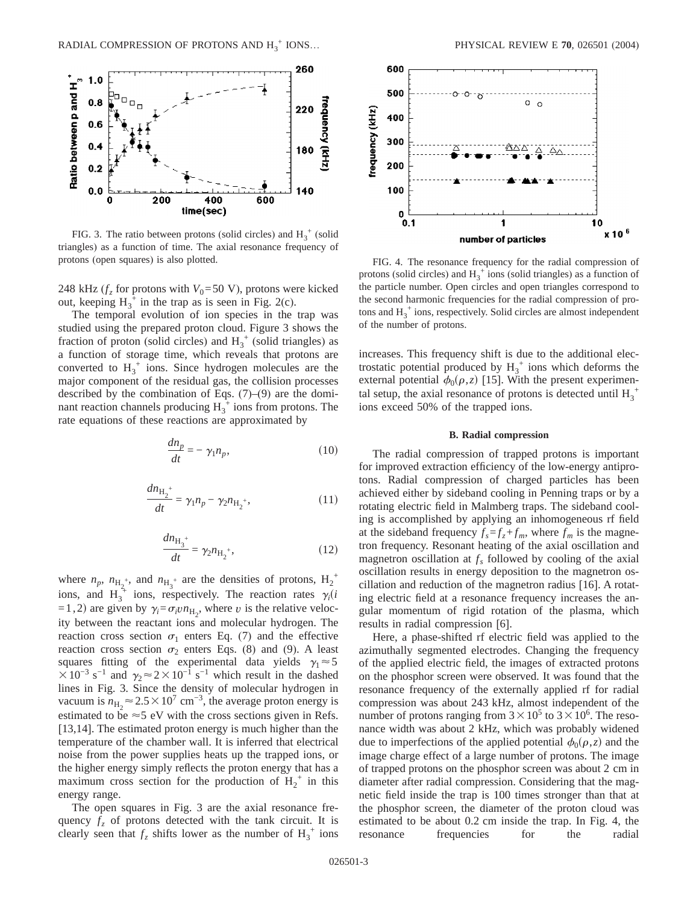

FIG. 3. The ratio between protons (solid circles) and  $H_3^+$  (solid triangles) as a function of time. The axial resonance frequency of protons (open squares) is also plotted. FIG. 4. The resonance frequency for the radial compression of

248 kHz ( $f<sub>z</sub>$  for protons with  $V<sub>0</sub>=50$  V), protons were kicked out, keeping  $H_3^{\dagger}$  in the trap as is seen in Fig. 2(c).

The temporal evolution of ion species in the trap was studied using the prepared proton cloud. Figure 3 shows the fraction of proton (solid circles) and  $H_3^+$  (solid triangles) as a function of storage time, which reveals that protons are converted to  $H_3^+$  ions. Since hydrogen molecules are the major component of the residual gas, the collision processes described by the combination of Eqs. (7)–(9) are the dominant reaction channels producing  $H_3^{\hat{+}}$  ions from protons. The rate equations of these reactions are approximated by

$$
\frac{dn_p}{dt} = -\gamma_1 n_p,\tag{10}
$$

$$
\frac{dn_{\text{H}_2}^+}{dt} = \gamma_1 n_p - \gamma_2 n_{\text{H}_2^+},\tag{11}
$$

$$
\frac{dn_{\text{H}_3}^+}{dt} = \gamma_2 n_{\text{H}_2^+},\tag{12}
$$

where  $n_p$ ,  $n_{\text{H}_2^{+}}$ , and  $n_{\text{H}_3^{+}}$  are the densities of protons,  $\text{H}_2^{+}$ ions, and  $H_3^{\hat{+}}$  ions, respectively. The reaction rates  $\gamma_i(i)$  $(1, 2)$  are given by  $\gamma_i = \sigma_i v n_{\text{H}_2}$ , where *v* is the relative velocity between the reactant ions and molecular hydrogen. The reaction cross section  $\sigma_1$  enters Eq. (7) and the effective reaction cross section  $\sigma_2$  enters Eqs. (8) and (9). A least squares fitting of the experimental data yields  $\gamma_1 \approx 5$  $\times 10^{-3}$  s<sup>-1</sup> and  $\gamma_2 \approx 2 \times 10^{-1}$  s<sup>-1</sup> which result in the dashed lines in Fig. 3. Since the density of molecular hydrogen in vacuum is  $n_{\text{H}_2} \approx 2.5 \times 10^7 \text{ cm}^{-3}$ , the average proton energy is estimated to be  $\approx$  5 eV with the cross sections given in Refs. [13,14]. The estimated proton energy is much higher than the temperature of the chamber wall. It is inferred that electrical noise from the power supplies heats up the trapped ions, or the higher energy simply reflects the proton energy that has a maximum cross section for the production of  $H_2^+$  in this energy range.

The open squares in Fig. 3 are the axial resonance frequency  $f<sub>z</sub>$  of protons detected with the tank circuit. It is clearly seen that  $f_z$  shifts lower as the number of  $H_3^+$  ions



protons (solid circles) and  $H_3^+$  ions (solid triangles) as a function of the particle number. Open circles and open triangles correspond to the second harmonic frequencies for the radial compression of protons and  $H_3^+$  ions, respectively. Solid circles are almost independent of the number of protons.

increases. This frequency shift is due to the additional electrostatic potential produced by  $H_3^+$  ions which deforms the external potential  $\phi_0(\rho, z)$  [15]. With the present experimental setup, the axial resonance of protons is detected until  $H_3^+$ ions exceed 50% of the trapped ions.

### **B. Radial compression**

The radial compression of trapped protons is important for improved extraction efficiency of the low-energy antiprotons. Radial compression of charged particles has been achieved either by sideband cooling in Penning traps or by a rotating electric field in Malmberg traps. The sideband cooling is accomplished by applying an inhomogeneous rf field at the sideband frequency  $f_s = f_z + f_m$ , where  $f_m$  is the magnetron frequency. Resonant heating of the axial oscillation and magnetron oscillation at  $f_s$  followed by cooling of the axial oscillation results in energy deposition to the magnetron oscillation and reduction of the magnetron radius [16]. A rotating electric field at a resonance frequency increases the angular momentum of rigid rotation of the plasma, which results in radial compression [6].

Here, a phase-shifted rf electric field was applied to the azimuthally segmented electrodes. Changing the frequency of the applied electric field, the images of extracted protons on the phosphor screen were observed. It was found that the resonance frequency of the externally applied rf for radial compression was about 243 kHz, almost independent of the number of protons ranging from  $3 \times 10^5$  to  $3 \times 10^6$ . The resonance width was about 2 kHz, which was probably widened due to imperfections of the applied potential  $\phi_0(\rho, z)$  and the image charge effect of a large number of protons. The image of trapped protons on the phosphor screen was about 2 cm in diameter after radial compression. Considering that the magnetic field inside the trap is 100 times stronger than that at the phosphor screen, the diameter of the proton cloud was estimated to be about 0.2 cm inside the trap. In Fig. 4, the resonance frequencies for the radial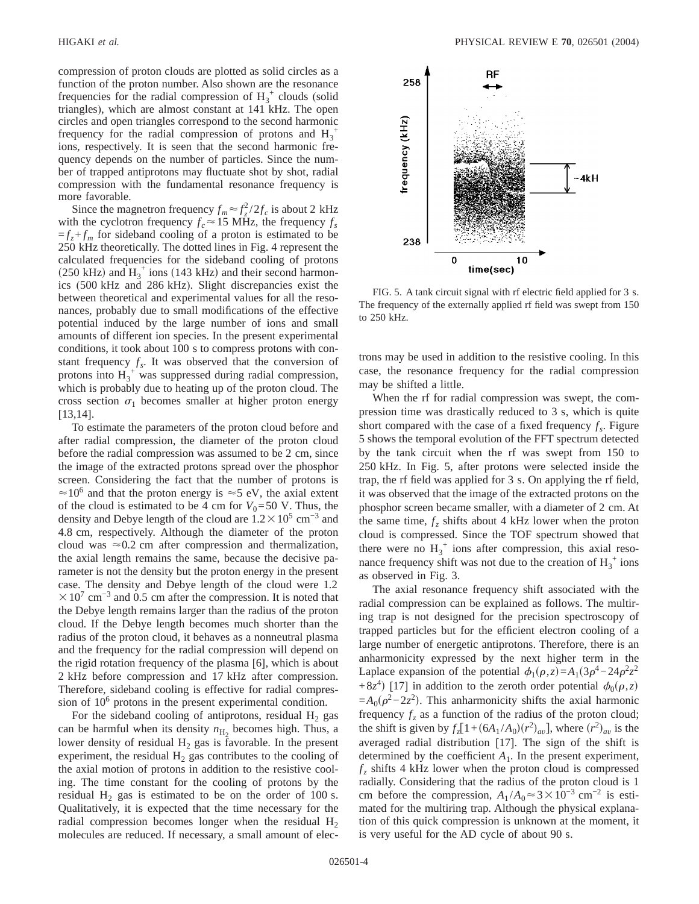compression of proton clouds are plotted as solid circles as a function of the proton number. Also shown are the resonance frequencies for the radial compression of  $H_3^+$  clouds (solid triangles), which are almost constant at 141 kHz. The open circles and open triangles correspond to the second harmonic frequency for the radial compression of protons and  $H_3^+$ ions, respectively. It is seen that the second harmonic frequency depends on the number of particles. Since the number of trapped antiprotons may fluctuate shot by shot, radial compression with the fundamental resonance frequency is more favorable.

Since the magnetron frequency  $f_m \approx f_z^2/2f_c$  is about 2 kHz with the cyclotron frequency  $f_c \approx 15$  MHz, the frequency  $f_s$  $=f_z + f_m$  for sideband cooling of a proton is estimated to be 250 kHz theoretically. The dotted lines in Fig. 4 represent the calculated frequencies for the sideband cooling of protons (250 kHz) and  $H_3^+$  ions (143 kHz) and their second harmonics (500 kHz and 286 kHz). Slight discrepancies exist the between theoretical and experimental values for all the resonances, probably due to small modifications of the effective potential induced by the large number of ions and small amounts of different ion species. In the present experimental conditions, it took about 100 s to compress protons with constant frequency  $f_s$ . It was observed that the conversion of protons into  $H_3^+$  was suppressed during radial compression, which is probably due to heating up of the proton cloud. The cross section  $\sigma_1$  becomes smaller at higher proton energy [13,14].

To estimate the parameters of the proton cloud before and after radial compression, the diameter of the proton cloud before the radial compression was assumed to be 2 cm, since the image of the extracted protons spread over the phosphor screen. Considering the fact that the number of protons is  $\approx$ 10<sup>6</sup> and that the proton energy is  $\approx$ 5 eV, the axial extent of the cloud is estimated to be 4 cm for  $V_0 = 50$  V. Thus, the density and Debye length of the cloud are  $1.2 \times 10^5$  cm<sup>-3</sup> and 4.8 cm, respectively. Although the diameter of the proton cloud was  $\approx 0.2$  cm after compression and thermalization, the axial length remains the same, because the decisive parameter is not the density but the proton energy in the present case. The density and Debye length of the cloud were 1.2  $\times$ 10<sup>7</sup> cm<sup>-3</sup> and 0.5 cm after the compression. It is noted that the Debye length remains larger than the radius of the proton cloud. If the Debye length becomes much shorter than the radius of the proton cloud, it behaves as a nonneutral plasma and the frequency for the radial compression will depend on the rigid rotation frequency of the plasma [6], which is about 2 kHz before compression and 17 kHz after compression. Therefore, sideband cooling is effective for radial compression of  $10<sup>6</sup>$  protons in the present experimental condition.

For the sideband cooling of antiprotons, residual  $H_2$  gas can be harmful when its density  $n_{\text{H}_2}$  becomes high. Thus, a lower density of residual  $H_2$  gas is favorable. In the present experiment, the residual  $H_2$  gas contributes to the cooling of the axial motion of protons in addition to the resistive cooling. The time constant for the cooling of protons by the residual  $H_2$  gas is estimated to be on the order of 100 s. Qualitatively, it is expected that the time necessary for the radial compression becomes longer when the residual  $H_2$ molecules are reduced. If necessary, a small amount of elec-



FIG. 5. A tank circuit signal with rf electric field applied for 3 s. The frequency of the externally applied rf field was swept from 150 to 250 kHz.

trons may be used in addition to the resistive cooling. In this case, the resonance frequency for the radial compression may be shifted a little.

When the rf for radial compression was swept, the compression time was drastically reduced to 3 s, which is quite short compared with the case of a fixed frequency  $f_s$ . Figure 5 shows the temporal evolution of the FFT spectrum detected by the tank circuit when the rf was swept from 150 to 250 kHz. In Fig. 5, after protons were selected inside the trap, the rf field was applied for 3 s. On applying the rf field, it was observed that the image of the extracted protons on the phosphor screen became smaller, with a diameter of 2 cm. At the same time,  $f<sub>z</sub>$  shifts about 4 kHz lower when the proton cloud is compressed. Since the TOF spectrum showed that there were no  $H_3^+$  ions after compression, this axial resonance frequency shift was not due to the creation of  $H_3^+$  ions as observed in Fig. 3.

The axial resonance frequency shift associated with the radial compression can be explained as follows. The multiring trap is not designed for the precision spectroscopy of trapped particles but for the efficient electron cooling of a large number of energetic antiprotons. Therefore, there is an anharmonicity expressed by the next higher term in the Laplace expansion of the potential  $\phi_1(\rho, z) = A_1(3\rho^4 - 24\rho^2 z^2)$  $+8z<sup>4</sup>$  [17] in addition to the zeroth order potential  $\phi_0(\rho, z)$  $=A_0(\rho^2-2z^2)$ . This anharmonicity shifts the axial harmonic frequency  $f_z$  as a function of the radius of the proton cloud; the shift is given by  $f_z[1 + (6A_1 / A_0)(r^2)_{av}]$ , where  $(r^2)_{av}$  is the averaged radial distribution [17]. The sign of the shift is determined by the coefficient  $A_1$ . In the present experiment,  $f<sub>z</sub>$  shifts 4 kHz lower when the proton cloud is compressed radially. Considering that the radius of the proton cloud is 1 cm before the compression,  $A_1/A_0 \approx 3 \times 10^{-3}$  cm<sup>-2</sup> is estimated for the multiring trap. Although the physical explanation of this quick compression is unknown at the moment, it is very useful for the AD cycle of about 90 s.